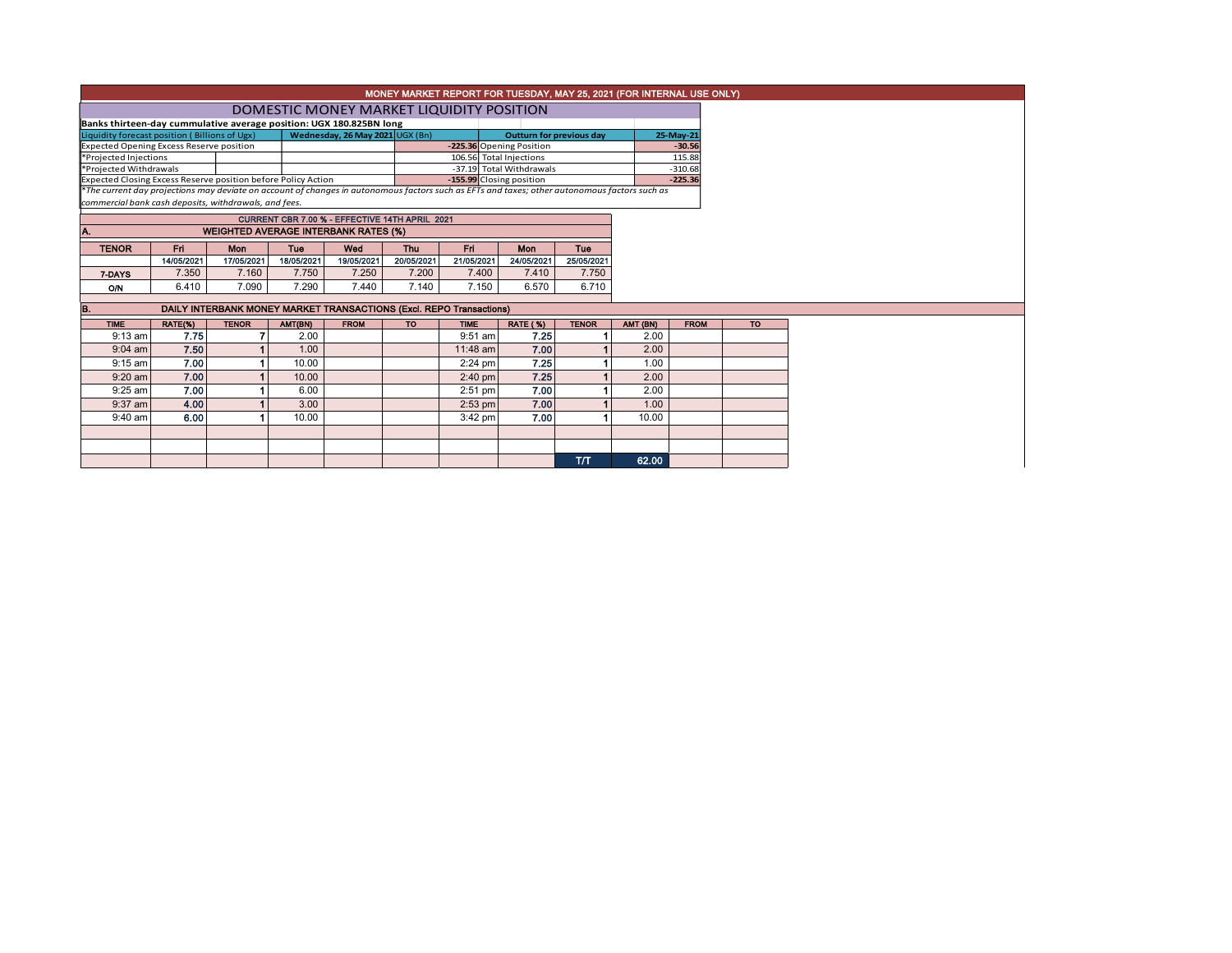|                                                                                                                                               |            |                                                                     |                                                |                                 |            |             | <b>MONEY MARKET REPORT FOR TUESDAY, MAY 25, 2021 (FOR INTERNAL USE ONLY)</b> |                                 |          |             |           |
|-----------------------------------------------------------------------------------------------------------------------------------------------|------------|---------------------------------------------------------------------|------------------------------------------------|---------------------------------|------------|-------------|------------------------------------------------------------------------------|---------------------------------|----------|-------------|-----------|
|                                                                                                                                               |            |                                                                     | DOMESTIC MONEY MARKET LIQUIDITY POSITION       |                                 |            |             |                                                                              |                                 |          |             |           |
| Banks thirteen-day cummulative average position: UGX 180.825BN long                                                                           |            |                                                                     |                                                |                                 |            |             |                                                                              |                                 |          |             |           |
| Liquidity forecast position (Billions of Ugx)                                                                                                 |            |                                                                     |                                                | Wednesday, 26 May 2021 UGX (Bn) |            |             |                                                                              | <b>Outturn for previous day</b> |          | 25-May-21   |           |
| Expected Opening Excess Reserve position                                                                                                      |            |                                                                     |                                                |                                 |            |             | -225.36 Opening Position                                                     |                                 |          | $-30.56$    |           |
| *Projected Injections                                                                                                                         |            |                                                                     |                                                |                                 |            |             | 106.56 Total Injections                                                      |                                 |          | 115.88      |           |
| *Projected Withdrawals                                                                                                                        |            |                                                                     |                                                |                                 |            |             | -37.19 Total Withdrawals                                                     |                                 |          | $-310.68$   |           |
| Expected Closing Excess Reserve position before Policy Action                                                                                 |            |                                                                     |                                                |                                 |            |             | -155.99 Closing position                                                     |                                 |          | $-225.36$   |           |
| *The current day projections may deviate on account of changes in autonomous factors such as EFTs and taxes; other autonomous factors such as |            |                                                                     |                                                |                                 |            |             |                                                                              |                                 |          |             |           |
| commercial bank cash deposits, withdrawals, and fees.                                                                                         |            |                                                                     |                                                |                                 |            |             |                                                                              |                                 |          |             |           |
|                                                                                                                                               |            |                                                                     | CURRENT CBR 7.00 % - EFFECTIVE 14TH APRIL 2021 |                                 |            |             |                                                                              |                                 |          |             |           |
|                                                                                                                                               |            | <b>WEIGHTED AVERAGE INTERBANK RATES (%)</b>                         |                                                |                                 |            |             |                                                                              |                                 |          |             |           |
| <b>TENOR</b>                                                                                                                                  | Fri.       | Mon                                                                 | <b>Tue</b>                                     | Wed                             | <b>Thu</b> | Eri         | <b>Mon</b>                                                                   | Tue                             |          |             |           |
|                                                                                                                                               | 14/05/2021 | 17/05/2021                                                          | 18/05/2021                                     | 19/05/2021                      | 20/05/2021 | 21/05/2021  | 24/05/2021                                                                   | 25/05/2021                      |          |             |           |
| 7-DAYS                                                                                                                                        | 7.350      | 7.160                                                               | 7.750                                          | 7.250                           | 7.200      | 7.400       | 7.410                                                                        | 7.750                           |          |             |           |
| <b>O/N</b>                                                                                                                                    | 6.410      | 7.090                                                               | 7.290                                          | 7.440                           | 7.140      | 7.150       | 6.570                                                                        | 6.710                           |          |             |           |
|                                                                                                                                               |            | DAILY INTERBANK MONEY MARKET TRANSACTIONS (Excl. REPO Transactions) |                                                |                                 |            |             |                                                                              |                                 |          |             |           |
| <b>TIME</b>                                                                                                                                   | RATE(%)    | <b>TENOR</b>                                                        | AMT(BN)                                        | <b>FROM</b>                     | <b>TO</b>  | <b>TIME</b> | <b>RATE (%)</b>                                                              | <b>TENOR</b>                    | AMT (BN) | <b>FROM</b> | <b>TO</b> |
|                                                                                                                                               |            |                                                                     |                                                |                                 |            |             |                                                                              |                                 |          |             |           |
| $9:13$ am                                                                                                                                     | 7.75       |                                                                     | 2.00                                           |                                 |            | $9:51$ am   | 7.25                                                                         |                                 | 2.00     |             |           |
| $9:04$ am                                                                                                                                     | 7.50       |                                                                     | 1.00                                           |                                 |            | 11:48 am    | 7.00                                                                         |                                 | 2.00     |             |           |
| $9:15$ am                                                                                                                                     | 7.00       |                                                                     | 10.00                                          |                                 |            | $2:24$ pm   | 7.25                                                                         |                                 | 1.00     |             |           |
| $9:20$ am                                                                                                                                     | 7.00       |                                                                     | 10.00                                          |                                 |            | $2:40$ pm   | 7.25                                                                         |                                 | 2.00     |             |           |
| $9:25$ am                                                                                                                                     | 7.00       |                                                                     | 6.00                                           |                                 |            | $2:51$ pm   | 7.00                                                                         |                                 | 2.00     |             |           |
| $9:37$ am                                                                                                                                     | 4.00       |                                                                     | 3.00                                           |                                 |            | $2:53$ pm   | 7.00                                                                         |                                 | 1.00     |             |           |

T/T 62.00

9:40 am | 6.00 | 1 | 10.00 | | 3:42 pm | 7.00 | 1 | 10.00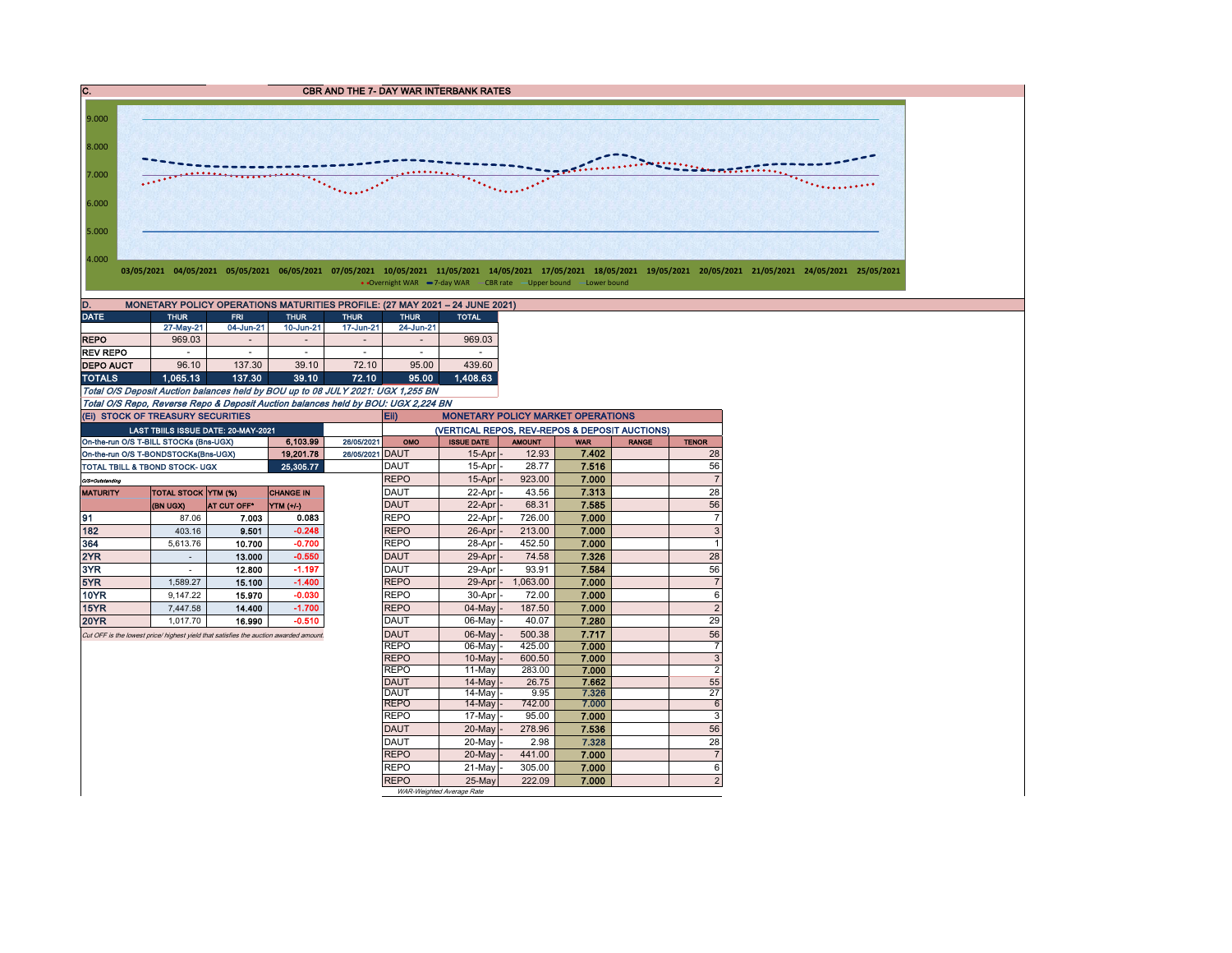C. CBR AND THE 7- DAY WAR INTERBANK RATES 9.000 8.000 <u> 11111111111111111111111111111</u> **SAGUINEERS SERVICE BOARD TO THE TIME**  $.........$ 7.000  $\overline{\phantom{a}}$  $\mathcal{L}^{\text{max}}$  $\mathcal{L}_{\mathcal{L}_{\mathcal{L}_{\mathcal{L}_{\mathcal{L}_{\mathcal{L}}}}\cup\mathcal{L}_{\mathcal{L}_{\mathcal{L}}}}\mathcal{L}_{\mathcal{L}_{\mathcal{L}_{\mathcal{L}}}}\mathcal{L}_{\mathcal{L}_{\mathcal{L}_{\mathcal{L}}}}\mathcal{L}_{\mathcal{L}_{\mathcal{L}_{\mathcal{L}}}}\mathcal{L}_{\mathcal{L}_{\mathcal{L}_{\mathcal{L}}}}\mathcal{L}_{\mathcal{L}_{\mathcal{L}_{\mathcal{L}}}}\mathcal{L}_{\mathcal{L}_{\mathcal{L}_{\mathcal{L}}}}\mathcal{L}_{\mathcal{L}_{$ 6.000 5.000 4.000 03/05/2021 04/05/2021 05/05/2021 06/05/2021 07/05/2021 10/05/2021 11/05/2021 14/05/2021 17/05/2021 18/05/2021 19/05/2021 20/05/2021 21/05/2021 24/05/2021 24/05/2021 • Overnight WAR  $-7$ -day WAR  $-CBR$  rate  $-U$ pper bound  $-Lower$  bound D. MONETARY POLICY OPERATIONS MATURITIES PROFILE: (27 MAY 2021 – 24 JUNE 2021) DATE THUR FRI THUR THUR THUR TOTAL 27-May-21 04-Jun-21 10-Jun-21 17-Jun-21 24-Jun-21 REPO | 969.03 | - | - | - | - | 969.03 REV REPO | - | - | - | - | - | -DEPO AUCT 96.10 137.30 39.10 72.10 95.00 439.60 TOTALS 1,065.13 137.30 39.10 72.10 95.00 Total O/S Deposit Auction balances held by BOU up to 08 JULY 2021: UGX 1,255 BN Total O/S Repo, Reverse Repo & Deposit Auction balances held by BOU: UGX 2,224 BN (Ei) STOCK OF TREASURY SECURITIES Eii) MONETARY POLICY MARKET OPERATIONS (VERTICAL REPOS, REV-REPOS & DEPOSIT AUCTIONS) LAST TBIILS ISSUE DATE: 20-MAY-2021

| (EI) STOCK OF TREASURY SECURITIES                                                     |                            |                                            |                  |                 | Eii)<br><b>MONETARY POLICY MARKET OPERATIONS</b> |                           |               |            |              |                |  |  |  |  |
|---------------------------------------------------------------------------------------|----------------------------|--------------------------------------------|------------------|-----------------|--------------------------------------------------|---------------------------|---------------|------------|--------------|----------------|--|--|--|--|
|                                                                                       |                            | <b>LAST TBIILS ISSUE DATE: 20-MAY-2021</b> |                  |                 | (VERTICAL REPOS, REV-REPOS & DEPOSIT AUCTIONS)   |                           |               |            |              |                |  |  |  |  |
| On-the-run O/S T-BILL STOCKs (Bns-UGX)                                                |                            |                                            | 6,103.99         | 26/05/2021      | OMO                                              | <b>ISSUE DATE</b>         | <b>AMOUNT</b> | <b>WAR</b> | <b>RANGE</b> | <b>TENOR</b>   |  |  |  |  |
| On-the-run O/S T-BONDSTOCKs(Bns-UGX)                                                  |                            |                                            | 19,201.78        | 26/05/2021 DAUT |                                                  | $15$ -Apr                 | 12.93         | 7.402      |              | 28             |  |  |  |  |
| TOTAL TBILL & TBOND STOCK- UGX                                                        |                            |                                            | 25,305.77        |                 | <b>DAUT</b>                                      | 15-Apr                    | 28.77         | 7.516      |              | 56             |  |  |  |  |
| O/S=Outstanding                                                                       |                            |                                            |                  |                 | <b>REPO</b>                                      | 15-Apr                    | 923.00        | 7.000      |              |                |  |  |  |  |
| <b>MATURITY</b>                                                                       | <b>TOTAL STOCK YTM (%)</b> |                                            | <b>CHANGE IN</b> |                 | <b>DAUT</b>                                      | 22-Apr                    | 43.56         | 7.313      |              | 28             |  |  |  |  |
|                                                                                       | (BN UGX)                   | <b>AT CUT OFF</b> *                        | YIM(1/4)         |                 | <b>DAUT</b>                                      | $22$ -Apr                 | 68.31         | 7.585      |              | 56             |  |  |  |  |
| 91                                                                                    | 87.06                      | 7.003                                      | 0.083            |                 | <b>REPO</b>                                      | 22-Apr                    | 726.00        | 7.000      |              | $\overline{7}$ |  |  |  |  |
| 182                                                                                   | 403.16                     | 9.501                                      | $-0.248$         |                 | <b>REPO</b>                                      | $26$ -Apr                 | 213.00        | 7.000      |              | 3              |  |  |  |  |
| 364                                                                                   | 5.613.76                   | 10.700                                     | $-0.700$         |                 | <b>REPO</b>                                      | 28-Apr                    | 452.50        | 7.000      |              | 1              |  |  |  |  |
| 2YR                                                                                   |                            | 13.000                                     | $-0.550$         |                 | <b>DAUT</b>                                      | $29$ -Apr $-$             | 74.58         | 7.326      |              | 28             |  |  |  |  |
| 3YR                                                                                   |                            | 12.800                                     | $-1.197$         |                 | <b>DAUT</b>                                      | 29-Aprl-                  | 93.91         | 7.584      |              | 56             |  |  |  |  |
| 5YR                                                                                   | 1.589.27                   | 15.100                                     | $-1.400$         |                 | <b>REPO</b>                                      | $29$ -Apr $-$             | 1.063.00      | 7.000      |              | $\overline{7}$ |  |  |  |  |
| 10YR                                                                                  | 9.147.22                   | 15.970                                     | $-0.030$         |                 | <b>REPO</b>                                      | $30 - A$ pr $-$           | 72.00         | 7.000      |              | 6              |  |  |  |  |
| 15YR                                                                                  | 7,447.58                   | 14.400                                     | $-1.700$         |                 | <b>REPO</b>                                      | $04$ -May $-$             | 187.50        | 7.000      |              | $\overline{2}$ |  |  |  |  |
| <b>20YR</b>                                                                           | 1.017.70                   | 16.990                                     | $-0.510$         |                 | <b>DAUT</b>                                      | 06-May                    | 40.07         | 7.280      |              | 29             |  |  |  |  |
| Cut OFF is the lowest price/ highest yield that satisfies the auction awarded amount. |                            |                                            |                  |                 | <b>DAUT</b>                                      | 06-May                    | 500.38        | 7.717      |              | 56             |  |  |  |  |
|                                                                                       |                            |                                            |                  |                 | <b>REPO</b>                                      | 06-May                    | 425.00        | 7.000      |              | $\overline{7}$ |  |  |  |  |
|                                                                                       |                            |                                            |                  |                 | <b>REPO</b>                                      | 10-May                    | 600.50        | 7.000      |              | 3              |  |  |  |  |
|                                                                                       |                            |                                            |                  |                 | <b>REPO</b>                                      | 11-May                    | 283.00        | 7.000      |              | $\overline{2}$ |  |  |  |  |
|                                                                                       |                            |                                            |                  |                 | <b>DAUT</b>                                      | 14-May                    | 26.75         | 7.662      |              | 55             |  |  |  |  |
|                                                                                       |                            |                                            |                  |                 | <b>DAUT</b>                                      | 14-May                    | 9.95          | 7.326      |              | 27             |  |  |  |  |
|                                                                                       |                            |                                            |                  |                 | <b>REPO</b>                                      | $14$ -May $\vert$ -       | 742.00        | 7.000      |              | 6              |  |  |  |  |
|                                                                                       |                            |                                            |                  |                 | <b>REPO</b>                                      | $17-May$ -                | 95.00         | 7.000      |              | 3              |  |  |  |  |
|                                                                                       |                            |                                            |                  |                 | DAUT                                             | $20$ -May $-$             | 278.96        | 7.536      |              | 56             |  |  |  |  |
|                                                                                       |                            |                                            |                  |                 | DAUT                                             | 20-May -                  | 2.98          | 7.328      |              | 28             |  |  |  |  |
|                                                                                       |                            |                                            |                  |                 | <b>REPO</b>                                      | $20$ -May $-$             | 441.00        | 7.000      |              | $\overline{7}$ |  |  |  |  |
|                                                                                       |                            |                                            |                  |                 | <b>REPO</b>                                      | 21-May                    | 305.00        | 7.000      |              | 6              |  |  |  |  |
|                                                                                       |                            |                                            |                  |                 | <b>REPO</b>                                      | $25-May$                  | 222.09        | 7.000      |              | $\overline{2}$ |  |  |  |  |
|                                                                                       |                            |                                            |                  |                 |                                                  | WAR-Weinhted Average Rate |               |            |              |                |  |  |  |  |